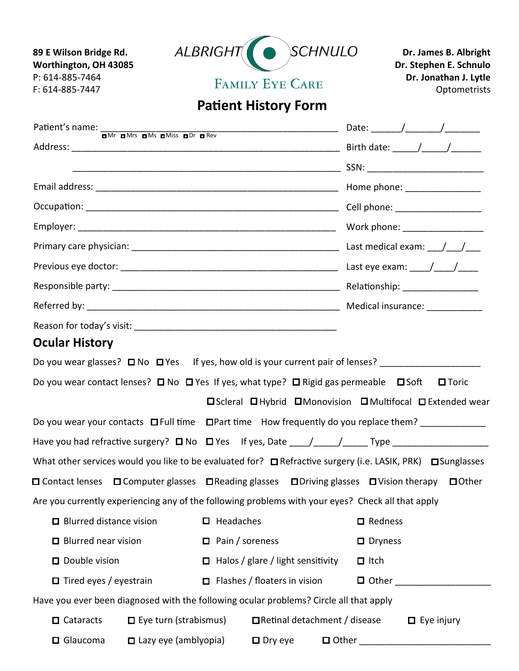

## **Patient History Form**

| Patient's name: $\frac{1}{n^{Mr}}$ $\frac{n^{Mr}}{r}$ $\frac{n^{Mr}}{r}$ $\frac{n^{Mr}}{r}$ $\frac{n^{Mr}}{r}$ $\frac{n^{Mr}}{r}$ $\frac{n^{Mr}}{r}$ $\frac{n^{Mr}}{r}$ $\frac{n^{Mr}}{r}$ $\frac{n^{Mr}}{r}$ $\frac{n^{Mr}}{r}$ $\frac{n^{Mr}}{r}$ $\frac{n^{Mr}}{r}$ $\frac{n^{Mr}}{r}$ $\frac{n^{Mr}}{r}$ $\frac{n^{Mr}}{r}$ $\frac{n^{Mr}}{r}$ |                              |                                          |                                |                |  |                                                              |
|----------------------------------------------------------------------------------------------------------------------------------------------------------------------------------------------------------------------------------------------------------------------------------------------------------------------------------------------------|------------------------------|------------------------------------------|--------------------------------|----------------|--|--------------------------------------------------------------|
|                                                                                                                                                                                                                                                                                                                                                    |                              |                                          |                                |                |  |                                                              |
|                                                                                                                                                                                                                                                                                                                                                    |                              |                                          |                                |                |  |                                                              |
|                                                                                                                                                                                                                                                                                                                                                    |                              |                                          |                                |                |  |                                                              |
|                                                                                                                                                                                                                                                                                                                                                    |                              |                                          |                                |                |  | Work phone: __________________                               |
|                                                                                                                                                                                                                                                                                                                                                    |                              |                                          |                                |                |  |                                                              |
|                                                                                                                                                                                                                                                                                                                                                    |                              |                                          |                                |                |  |                                                              |
|                                                                                                                                                                                                                                                                                                                                                    |                              |                                          |                                |                |  |                                                              |
|                                                                                                                                                                                                                                                                                                                                                    |                              |                                          |                                |                |  |                                                              |
|                                                                                                                                                                                                                                                                                                                                                    |                              |                                          |                                |                |  |                                                              |
| <b>Ocular History</b>                                                                                                                                                                                                                                                                                                                              |                              |                                          |                                |                |  |                                                              |
| Do you wear glasses? □ No □ Yes If yes, how old is your current pair of lenses? ___________________                                                                                                                                                                                                                                                |                              |                                          |                                |                |  |                                                              |
| Do you wear contact lenses? $\square$ No $\square$ Yes If yes, what type? $\square$ Rigid gas permeable $\square$ Soft $\square$ Toric                                                                                                                                                                                                             |                              |                                          |                                |                |  |                                                              |
|                                                                                                                                                                                                                                                                                                                                                    |                              |                                          |                                |                |  | □ Scleral □ Hybrid □ Monovision □ Multifocal □ Extended wear |
| Do you wear your contacts □ Full time □ Part time How frequently do you replace them?                                                                                                                                                                                                                                                              |                              |                                          |                                |                |  |                                                              |
| Have you had refractive surgery? □ No □ Yes If yes, Date ____/_____/_____Type _____________________                                                                                                                                                                                                                                                |                              |                                          |                                |                |  |                                                              |
| What other services would you like to be evaluated for? □ Refractive surgery (i.e. LASIK, PRK) □ Sunglasses                                                                                                                                                                                                                                        |                              |                                          |                                |                |  |                                                              |
| $\Box$ Contact lenses $\Box$ Computer glasses $\Box$ Reading glasses $\Box$ Driving glasses $\Box$ Vision therapy                                                                                                                                                                                                                                  |                              |                                          |                                |                |  | $\Box$ Other                                                 |
| Are you currently experiencing any of the following problems with your eyes? Check all that apply                                                                                                                                                                                                                                                  |                              |                                          |                                |                |  |                                                              |
| □ Blurred distance vision                                                                                                                                                                                                                                                                                                                          |                              | $\Box$ Headaches                         |                                | $\Box$ Redness |  |                                                              |
| $\Box$ Blurred near vision                                                                                                                                                                                                                                                                                                                         |                              | $\Box$ Pain / soreness                   |                                | $\Box$ Dryness |  |                                                              |
| $\Box$ Double vision                                                                                                                                                                                                                                                                                                                               |                              | $\Box$ Halos / glare / light sensitivity |                                | $\Box$ Itch    |  |                                                              |
| $\Box$ Tired eyes / eyestrain                                                                                                                                                                                                                                                                                                                      |                              | $\Box$ Flashes / floaters in vision      |                                | $\Box$ Other   |  |                                                              |
| Have you ever been diagnosed with the following ocular problems? Circle all that apply                                                                                                                                                                                                                                                             |                              |                                          |                                |                |  |                                                              |
| $\Box$ Cataracts                                                                                                                                                                                                                                                                                                                                   | $\Box$ Eye turn (strabismus) |                                          | □ Retinal detachment / disease |                |  | $\Box$ Eye injury                                            |
| $\Box$ Glaucoma                                                                                                                                                                                                                                                                                                                                    | $\Box$ Lazy eye (amblyopia)  |                                          | $\Box$ Dry eye                 | □ Other        |  |                                                              |